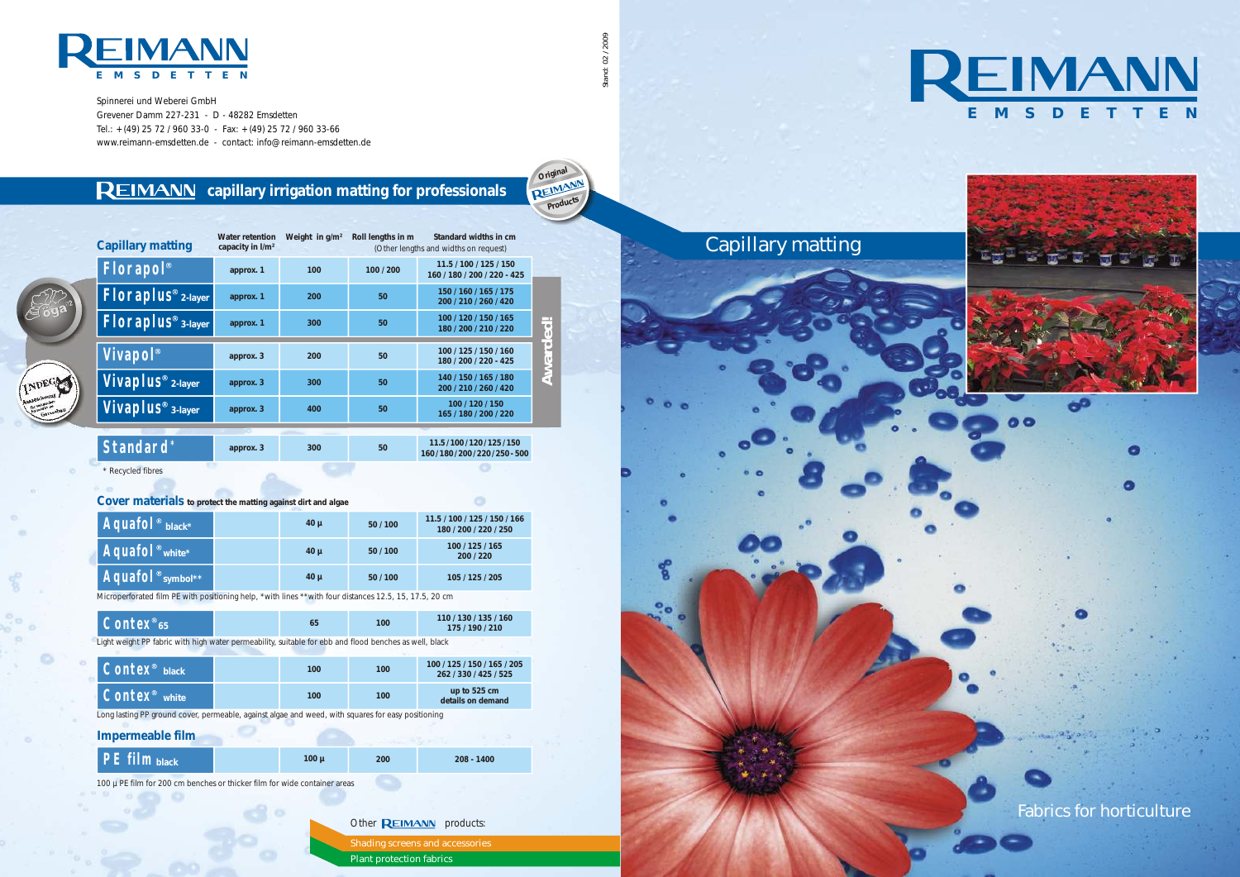**approx. 3**

**300**

Microperforated film PE with positioning help, \*with lines \*\*with four distances 12.5, 15, 17.5, 20 cm

**11.5 / 100 / 120 / 125 / 150 160 / 180 / 200 / 220 / 250 - 500**

Spinnerei und Weberei GmbH Grevener Damm 227-231 - D - 48282 Emsdetten Tel.:  $+(49)$  25 72 / 960 33-0 - Fax:  $+(49)$  25 72 / 960 33-66 www.reimann-emsdetten.de - contact: info@reimann-emsdetten.de

### **REIMANN** capillary irrigation matting for professionals









Fabrics for horticulture

| Shading screens and accessories |
|---------------------------------|
| Plant protection fabrics        |

**Standard \* \* 1 approx.** 3 **1 300 1 50** \* Recycled fibres

**Criginal**<br>**REIMANN Products**

| Capillary matting              | Water retention<br>capacity in I/m <sup>2</sup> | Weight in $q/m^2$ | Roll lengths in m | Standard widths in cm<br>(Other lengths and widths on request) |                |
|--------------------------------|-------------------------------------------------|-------------------|-------------------|----------------------------------------------------------------|----------------|
| Florapol <sup>®</sup>          | approx. 1                                       | 100               | 100 / 200         | 11.5 / 100 / 125 / 150<br>160 / 180 / 200 / 220 - 425          |                |
| Floraplus <sup>®</sup> 2-layer | approx. 1                                       | 200               | 50                | 150 / 160 / 165 / 175<br>200 / 210 / 260 / 420                 |                |
| $Floraplus® 3-layer$           | approx. 1                                       | 300               | 50                | 100 / 120 / 150 / 165<br>180 / 200 / 210 / 220                 | $\sim$         |
| Vivapol <sup>®</sup>           | approx. 3                                       | 200               | 50                | 100 / 125 / 150 / 160<br>180 / 200 / 220 - 425                 | <b>Awarded</b> |
| Vivaplus <sup>®</sup> 2-layer  | approx. 3                                       | 300               | 50                | 140 / 150 / 165 / 180<br>200 / 210 / 260 / 420                 |                |
| Vivaplus <sup>®</sup> 3-layer  | approx. 3                                       | 400               | 50                | 100 / 120 / 150<br>165 / 180 / 200 / 220                       |                |

02 / 2009 Stand: 02 / 2009





| $Contex^{\circ}_{65}$                                                                                                     |  | 65  | 100 | 110 / 130 / 135 / 160                                |  |  |
|---------------------------------------------------------------------------------------------------------------------------|--|-----|-----|------------------------------------------------------|--|--|
| 175 / 190 / 210<br>Light weight PP fabric with high water permeability, suitable for ebb and flood benches as well, black |  |     |     |                                                      |  |  |
| Contex <sup>®</sup> black                                                                                                 |  | 100 | 100 | 100 / 125 / 150 / 165 / 205<br>262 / 330 / 425 / 525 |  |  |
| Contex <sup>®</sup> white                                                                                                 |  | 100 | 100 | up to 525 cm<br>details on demand                    |  |  |

| $\Delta$ quafo $\int$ <sup>®</sup> black*                           | $40 \mu$ | 50/100 | 11.5 / 100 / 125 / 150 / 166<br>180 / 200 / 220 / 250 |
|---------------------------------------------------------------------|----------|--------|-------------------------------------------------------|
| $\overline{A}$ quafo $\overline{C}$ <sub>white</sub> $\overline{C}$ | $40 \mu$ | 50/100 | 100/125/165<br>200/220                                |
| Aquafol <sup>®</sup> symbol**                                       | $40 \mu$ | 50/100 | 105 / 125 / 205                                       |

**Cover materials to protect the matting against dirt and algae**

Long lasting PP ground cover, permeable, against algae and weed, with squares for easy positioning

**Impermeable film**

| $PE$ film $base$ |  | 100 <sub>u</sub> | 200 | $208 - 1400$ |
|------------------|--|------------------|-----|--------------|
|------------------|--|------------------|-----|--------------|

100 µ PE film for 200 cm benches or thicker film for wide container areas

Other **REIMANN** products: